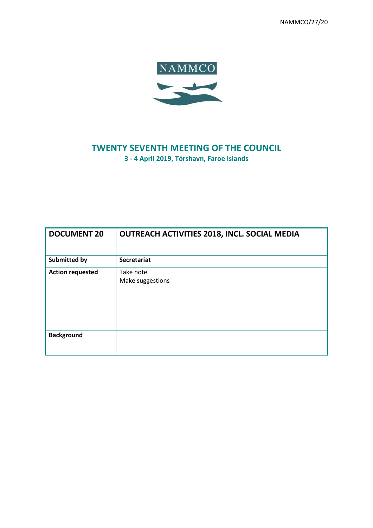NAMMCO/27/20



## **TWENTY SEVENTH MEETING OF THE COUNCIL 3 - 4 April 2019, Tórshavn, Faroe Islands**

| <b>DOCUMENT 20</b>      | <b>OUTREACH ACTIVITIES 2018, INCL. SOCIAL MEDIA</b> |
|-------------------------|-----------------------------------------------------|
| <b>Submitted by</b>     | <b>Secretariat</b>                                  |
| <b>Action requested</b> | Take note<br>Make suggestions                       |
| <b>Background</b>       |                                                     |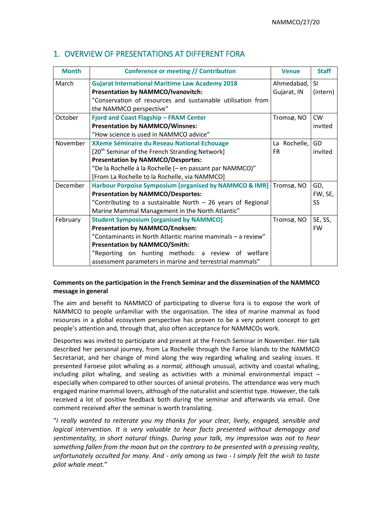| <b>Month</b> | Conference or meeting // Contribution                             | <b>Venue</b> | <b>Staff</b> |
|--------------|-------------------------------------------------------------------|--------------|--------------|
|              |                                                                   |              |              |
| March        | <b>Gujarat International Maritime Law Academy 2018</b>            | Ahmedabad,   | SI           |
|              | <b>Presentation by NAMMCO/Ivanovitch:</b>                         | Gujarat, IN  | (intern)     |
|              | "Conservation of resources and sustainable utilisation from       |              |              |
|              | the NAMMCO perspective"                                           |              |              |
| October      | Fjord and Coast Flagship - FRAM Center                            | Tromsø, NO   | <b>CW</b>    |
|              | <b>Presentation by NAMMCO/Winsnes:</b>                            |              | invited      |
|              | "How science is used in NAMMCO advice"                            |              |              |
| November     | XXeme Séminaire du Reseau National Echouage                       | La Rochelle, | GD           |
|              | [20 <sup>th</sup> Seminar of the French Stranding Network]        | <b>FR</b>    | invited      |
|              | <b>Presentation by NAMMCO/Desportes:</b>                          |              |              |
|              | "De la Rochelle à la Rochelle (- en passant par NAMMCO)"          |              |              |
|              | [From La Rochelle to la Rochelle, via NAMMCO]                     |              |              |
| December     | <b>Harbour Porpoise Symposium [organised by NAMMCO &amp; IMR]</b> | Tromsø, NO   | GD,          |
|              | <b>Presentation by NAMMCO/Desportes:</b>                          |              | FW, SE,      |
|              | "Contributing to a sustainable North - 26 years of Regional       |              | <b>SS</b>    |
|              | Marine Mammal Management in the North Atlantic"                   |              |              |
| February     | <b>Student Symposium [organised by NAMMCO]</b>                    | Tromsø, NO   | SE, SS,      |
|              | <b>Presentation by NAMMCO/Enoksen:</b>                            |              | <b>FW</b>    |
|              | "Contaminants in North Atlantic marine mammals - a review"        |              |              |
|              | <b>Presentation by NAMMCO/Smith:</b>                              |              |              |
|              | "Reporting on hunting methods: a review of welfare                |              |              |
|              | assessment parameters in marine and terrestrial mammals"          |              |              |

## 1. OVERVIEW OF PRESENTATIONS AT DIFFERENT FORA

### **Comments on the participation in the French Seminar and the dissemination of the NAMMCO message in general**

The aim and benefit to NAMMCO of participating to diverse fora is to expose the work of NAMMCO to people unfamiliar with the organisation. The idea of marine mammal as food resources in a global ecosystem perspective has proven to be a very potent concept to get people's attention and, through that, also often acceptance for NAMMCOs work.

Desportes was invited to participate and present at the French Seminar in November. Her talk described her personal journey, from La Rochelle through the Faroe Islands to the NAMMCO Secretariat, and her change of mind along the way regarding whaling and sealing issues. It presented Faroese pilot whaling as a *normal,* although unusual, activity and coastal whaling, including pilot whaling, and sealing as activities with a minimal environmental impact  $$ especially when compared to other sources of animal proteins. The attendance was very much engaged marine mammal lovers, although of the naturalist and scientist type. However, the talk received a lot of positive feedback both during the seminar and afterwards via email. One comment received after the seminar is worth translating.

"*I really wanted to reiterate you my thanks for your clear, lively, engaged, sensible and logical intervention. It is very valuable to hear facts presented without demagogy and sentimentality, in short natural things. During your talk, my impression was not to hear something fallen from the moon but on the contrary to be presented with a pressing reality, unfortunately occulted for many. And - only among us two - I simply felt the wish to taste pilot whale meat*."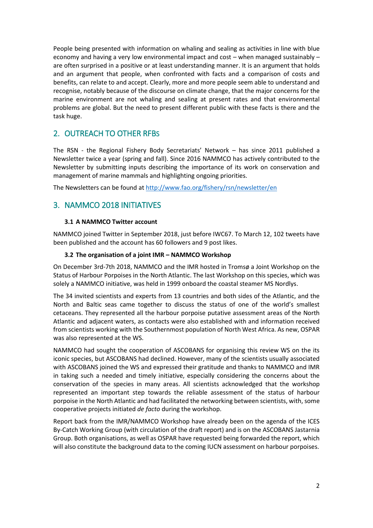People being presented with information on whaling and sealing as activities in line with blue economy and having a very low environmental impact and cost – when managed sustainably – are often surprised in a positive or at least understanding manner. It is an argument that holds and an argument that people, when confronted with facts and a comparison of costs and benefits, can relate to and accept. Clearly, more and more people seem able to understand and recognise, notably because of the discourse on climate change, that the major concerns for the marine environment are not whaling and sealing at present rates and that environmental problems are global. But the need to present different public with these facts is there and the task huge.

## 2. OUTREACH TO OTHER RFBS

The RSN - the Regional Fishery Body Secretariats' Network – has since 2011 published a Newsletter twice a year (spring and fall). Since 2016 NAMMCO has actively contributed to the Newsletter by submitting inputs describing the importance of its work on conservation and management of marine mammals and highlighting ongoing priorities.

The Newsletters can be found a[t http://www.fao.org/fishery/rsn/newsletter/en](http://www.fao.org/fishery/rsn/newsletter/en)

## 3. NAMMCO 2018 INITIATIVES

#### **3.1 A NAMMCO Twitter account**

NAMMCO joined Twitter in September 2018, just before IWC67. To March 12, 102 tweets have been published and the account has 60 followers and 9 post likes.

#### **3.2 The organisation of a joint IMR – NAMMCO Workshop**

On December 3rd-7th 2018, NAMMCO and the IMR hosted in Tromsø a Joint Workshop on the Status of Harbour Porpoises in the North Atlantic. The last Workshop on this species, which was solely a NAMMCO initiative, was held in 1999 onboard the coastal steamer MS Nordlys.

The 34 invited scientists and experts from 13 countries and both sides of the Atlantic, and the North and Baltic seas came together to discuss the status of one of the world's smallest cetaceans. They represented all the harbour porpoise putative assessment areas of the North Atlantic and adjacent waters, as contacts were also established with and information received from scientists working with the Southernmost population of North West Africa. As new, OSPAR was also represented at the WS.

NAMMCO had sought the cooperation of ASCOBANS for organising this review WS on the its iconic species, but ASCOBANS had declined. However, many of the scientists usually associated with ASCOBANS joined the WS and expressed their gratitude and thanks to NAMMCO and IMR in taking such a needed and timely initiative, especially considering the concerns about the conservation of the species in many areas. All scientists acknowledged that the workshop represented an important step towards the reliable assessment of the status of harbour porpoise in the North Atlantic and had facilitated the networking between scientists, with, some cooperative projects initiated *de facto* during the workshop.

Report back from the IMR/NAMMCO Workshop have already been on the agenda of the ICES By-Catch Working Group (with circulation of the draft report) and is on the ASCOBANS Jastarnia Group. Both organisations, as well as OSPAR have requested being forwarded the report, which will also constitute the background data to the coming IUCN assessment on harbour porpoises.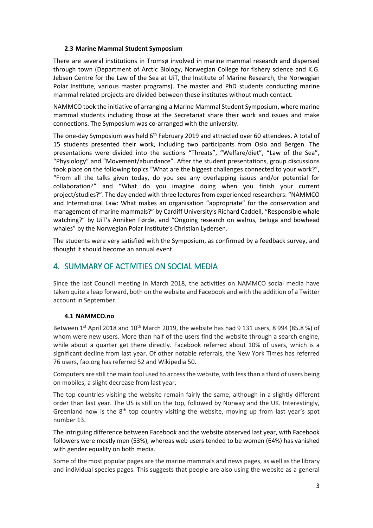#### **2.3 Marine Mammal Student Symposium**

There are several institutions in Tromsø involved in marine mammal research and dispersed through town (Department of Arctic Biology, Norwegian College for fishery science and K.G. Jebsen Centre for the Law of the Sea at UiT, the Institute of Marine Research, the Norwegian Polar Institute, various master programs). The master and PhD students conducting marine mammal related projects are divided between these institutes without much contact.

NAMMCO took the initiative of arranging a Marine Mammal Student Symposium, where marine mammal students including those at the Secretariat share their work and issues and make connections. The Symposium was co-arranged with the university.

The one-day Symposium was held 6<sup>th</sup> February 2019 and attracted over 60 attendees. A total of 15 students presented their work, including two participants from Oslo and Bergen. The presentations were divided into the sections "Threats", "Welfare/diet", "Law of the Sea", "Physiology" and "Movement/abundance". After the student presentations, group discussions took place on the following topics "What are the biggest challenges connected to your work?", "From all the talks given today, do you see any overlapping issues and/or potential for collaboration?" and "What do you imagine doing when you finish your current project/studies?". The day ended with three lectures from experienced researchers: "NAMMCO and International Law: What makes an organisation "appropriate" for the conservation and management of marine mammals?" by Cardiff University's Richard Caddell, "Responsible whale watching?" by UiT's Anniken Førde, and "Ongoing research on walrus, beluga and bowhead whales" by the Norwegian Polar Institute's Christian Lydersen.

The students were very satisfied with the Symposium, as confirmed by a feedback survey, and thought it should become an annual event.

## 4. SUMMARY OF ACTIVITIES ON SOCIAL MEDIA

Since the last Council meeting in March 2018, the activities on NAMMCO social media have taken quite a leap forward, both on the website and Facebook and with the addition of a Twitter account in September.

#### **4.1 NAMMCO.no**

Between 1<sup>st</sup> April 2018 and 10<sup>th</sup> March 2019, the website has had 9 131 users, 8 994 (85.8 %) of whom were new users. More than half of the users find the website through a search engine, while about a quarter get there directly. Facebook referred about 10% of users, which is a significant decline from last year. Of other notable referrals, the New York Times has referred 76 users, fao.org has referred 52 and Wikipedia 50.

Computers are still the main tool used to access the website, with less than a third of users being on mobiles, a slight decrease from last year.

The top countries visiting the website remain fairly the same, although in a slightly different order than last year. The US is still on the top, followed by Norway and the UK. Interestingly, Greenland now is the  $8<sup>th</sup>$  top country visiting the website, moving up from last year's spot number 13.

The intriguing difference between Facebook and the website observed last year, with Facebook followers were mostly men (53%), whereas web users tended to be women (64%) has vanished with gender equality on both media.

Some of the most popular pages are the marine mammals and news pages, as well as the library and individual species pages. This suggests that people are also using the website as a general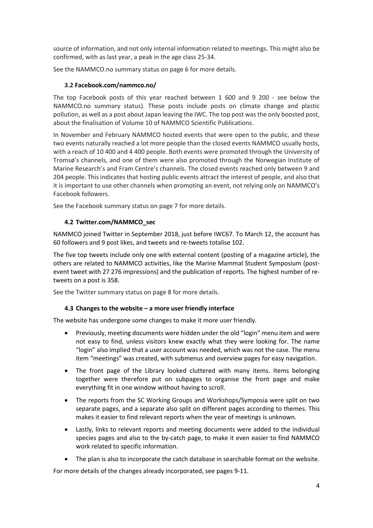source of information, and not only internal information related to meetings. This might also be confirmed, with as last year, a peak in the age class 25-34.

See the NAMMCO.no summary status on page 6 for more details.

#### **3.2 Facebook.com/nammco.no/**

The top Facebook posts of this year reached between 1 600 and 9 200 - see below the NAMMCO.no summary status). These posts include posts on climate change and plastic pollution, as well as a post about Japan leaving the IWC. The top post was the only boosted post, about the finalisation of Volume 10 of NAMMCO Scientific Publications.

In November and February NAMMCO hosted events that were open to the public, and these two events naturally reached a lot more people than the closed events NAMMCO usually hosts, with a reach of 10 400 and 4 400 people. Both events were promoted through the University of Tromsø's channels, and one of them were also promoted through the Norwegian Institute of Marine Research's and Fram Centre's channels. The closed events reached only between 9 and 204 people. This indicates that hosting public events attract the interest of people, and also that it is important to use other channels when promoting an event, not relying only on NAMMCO's Facebook followers.

See the Facebook summary status on page 7 for more details.

#### **4.2 Twitter.com/NAMMCO\_sec**

NAMMCO joined Twitter in September 2018, just before IWC67. To March 12, the account has 60 followers and 9 post likes, and tweets and re-tweets totalise 102.

The five top tweets include only one with external content (posting of a magazine article), the others are related to NAMMCO activities, like the Marine Mammal Student Symposium (postevent tweet with 27 276 impressions) and the publication of reports. The highest number of retweets on a post is 358.

See the Twitter summary status on page 8 for more details.

#### **4.3 Changes to the website – a more user friendly interface**

The website has undergone some changes to make it more user friendly.

- Previously, meeting documents were hidden under the old "login" menu item and were not easy to find, unless visitors knew exactly what they were looking for. The name "login" also implied that a user account was needed, which was not the case. The menu item "meetings" was created, with submenus and overview pages for easy navigation.
- The front page of the Library looked cluttered with many items. Items belonging together were therefore put on subpages to organise the front page and make everything fit in one window without having to scroll.
- The reports from the SC Working Groups and Workshops/Symposia were split on two separate pages, and a separate also split on different pages according to themes. This makes it easier to find relevant reports when the year of meetings is unknown.
- Lastly, links to relevant reports and meeting documents were added to the individual species pages and also to the by-catch page, to make it even easier to find NAMMCO work related to specific information.
- The plan is also to incorporate the catch database in searchable format on the website.

For more details of the changes already incorporated, see pages 9-11.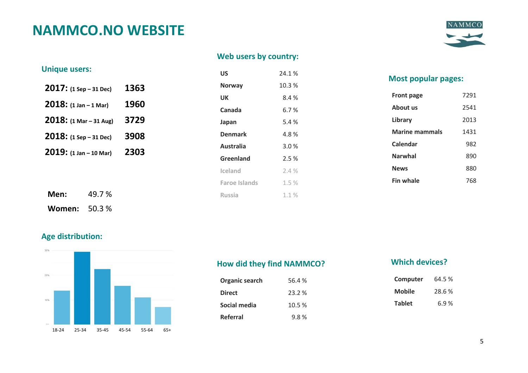# **NAMMCO.NO WEBSITE**



## **Web users by country:**

|  | <b>Unique users:</b> |  |
|--|----------------------|--|
|  |                      |  |

| $2017:$ (1 Sep – 31 Dec) | 1363 |
|--------------------------|------|
| $2018: (1 Jan - 1 Mar)$  | 1960 |
| 2018: (1 Mar - 31 Aug)   | 3729 |
| $2018:$ (1 Sep - 31 Dec) | 3908 |
| 2019: (1 Jan - 10 Mar)   | 2303 |
|                          |      |

**Women:** 50.3 %

| <b>IIIYUG USGI 3.</b>     |        |      | US                   | 24.1% | <b>Most popula</b> |
|---------------------------|--------|------|----------------------|-------|--------------------|
| $2017:$ (1 Sep – 31 Dec)  |        | 1363 | <b>Norway</b>        | 10.3% |                    |
|                           |        |      | UK                   | 8.4%  | Front page         |
| $2018:$ (1 Jan – 1 Mar)   |        | 1960 | Canada               | 6.7%  | About us           |
| $2018:$ (1 Mar – 31 Aug)  |        | 3729 | Japan                | 5.4 % | Library            |
| $2018$ : (1 Sep – 31 Dec) |        | 3908 | <b>Denmark</b>       | 4.8%  | <b>Marine mamm</b> |
|                           |        |      | <b>Australia</b>     | 3.0%  | Calendar           |
| $2019:$ (1 Jan – 10 Mar)  |        | 2303 | Greenland            | 2.5 % | <b>Narwhal</b>     |
|                           |        |      | Iceland              | 2.4%  | <b>News</b>        |
|                           |        |      | <b>Faroe Islands</b> | 1.5 % | <b>Fin whale</b>   |
| Men:                      | 49.7 % |      | Russia               | 1.1%  |                    |
|                           |        |      |                      |       |                    |

#### **Most popular pages:**

| <b>Front page</b>     | 7291 |
|-----------------------|------|
| About us              | 2541 |
| Library               | 2013 |
| <b>Marine mammals</b> | 1431 |
| Calendar              | 982  |
| <b>Narwhal</b>        | 890  |
| <b>News</b>           | 880  |
| <b>Fin whale</b>      | 768  |

## **Age distribution:**



## **How did they find NAMMCO?**

| Organic search | 56.4 % |
|----------------|--------|
| <b>Direct</b>  | 23.2 % |
| Social media   | 10.5 % |
| Referral       | 9.8%   |

## **Which devices?**

| Computer      | 64.5 % |
|---------------|--------|
| Mobile        | 28.6 % |
| <b>Tablet</b> | 6.9%   |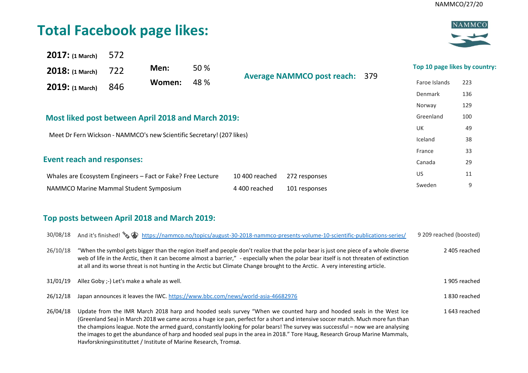# **Total Facebook page likes:**



| 2017: (1 March)                                                       | 572 |        |      |                |                                       |                               |     |
|-----------------------------------------------------------------------|-----|--------|------|----------------|---------------------------------------|-------------------------------|-----|
| $2018:$ (1 March)                                                     | 722 | Men:   | 50 % |                | <b>Average NAMMCO post reach: 379</b> | Top 10 page likes by country: |     |
| 2019: (1 March)                                                       | 846 | Women: | 48 % |                |                                       | Faroe Islands                 | 223 |
|                                                                       |     |        |      |                |                                       | Denmark                       | 136 |
|                                                                       |     |        |      |                |                                       | Norway                        | 129 |
| Most liked post between April 2018 and March 2019:                    |     |        |      |                |                                       | Greenland                     | 100 |
|                                                                       |     |        |      |                |                                       | UK                            | 49  |
| Meet Dr Fern Wickson - NAMMCO's new Scientific Secretary! (207 likes) |     |        |      |                |                                       | Iceland                       | 38  |
|                                                                       |     |        |      |                |                                       | France                        | 33  |
| <b>Event reach and responses:</b>                                     |     |        |      |                |                                       | Canada                        | 29  |
| Whales are Ecosystem Engineers - Fact or Fake? Free Lecture           |     |        |      | 10 400 reached | 272 responses                         | US                            | 11  |
| NAMMCO Marine Mammal Student Symposium                                |     |        |      | 4 400 reached  | 101 responses                         | Sweden                        | 9   |
|                                                                       |     |        |      |                |                                       |                               |     |

## **Top posts between April 2018 and March 2019:**

| 30/08/18 | And it's finished! $\bullet$ https://nammco.no/topics/august-30-2018-nammco-presents-volume-10-scientific-publications-series/                                                                                                                                                                                                                                                                                                                                                                                                                                                                | 9 209 reached (boosted) |
|----------|-----------------------------------------------------------------------------------------------------------------------------------------------------------------------------------------------------------------------------------------------------------------------------------------------------------------------------------------------------------------------------------------------------------------------------------------------------------------------------------------------------------------------------------------------------------------------------------------------|-------------------------|
| 26/10/18 | "When the symbol gets bigger than the region itself and people don't realize that the polar bear is just one piece of a whole diverse<br>web of life in the Arctic, then it can become almost a barrier," - especially when the polar bear itself is not threaten of extinction<br>at all and its worse threat is not hunting in the Arctic but Climate Change brought to the Arctic. A very interesting article.                                                                                                                                                                             | 2405 reached            |
| 31/01/19 | Allez Goby ;-) Let's make a whale as well.                                                                                                                                                                                                                                                                                                                                                                                                                                                                                                                                                    | 1905 reached            |
| 26/12/18 | Japan announces it leaves the IWC. https://www.bbc.com/news/world-asia-46682976                                                                                                                                                                                                                                                                                                                                                                                                                                                                                                               | 1830 reached            |
| 26/04/18 | Update from the IMR March 2018 harp and hooded seals survey "When we counted harp and hooded seals in the West Ice<br>(Greenland Sea) in March 2018 we came across a huge ice pan, perfect for a short and intensive soccer match. Much more fun than<br>the champions league. Note the armed guard, constantly looking for polar bears! The survey was successful – now we are analysing<br>the images to get the abundance of harp and hooded seal pups in the area in 2018." Tore Haug, Research Group Marine Mammals,<br>Havforskningsinstituttet / Institute of Marine Research, Tromsø. | 1643 reached            |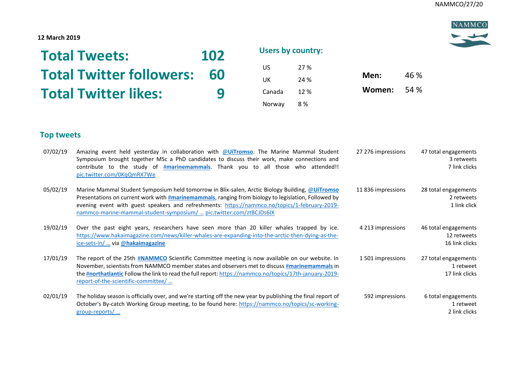NAMMCO

### **12 March 2019**

| <b>Total Tweets:</b>            | <b>102</b> | <b>Users by country:</b> |      |        |      |
|---------------------------------|------------|--------------------------|------|--------|------|
|                                 |            | US                       | 27 % |        |      |
| <b>Total Twitter followers:</b> | 60         | UK                       | 24 % | Men:   | 46 % |
| <b>Total Twitter likes:</b>     | q          | Canada                   | 12%  | Women: | 54 % |
|                                 |            | Norway                   | 8%   |        |      |

## **Top tweets**

| 07/02/19 | Amazing event held yesterday in collaboration with @UiTromso. The Marine Mammal Student<br>Symposium brought together MSc a PhD candidates to discuss their work, make connections and<br>contribute to the study of #marinemammals. Thank you to all those who attended!!<br>pic.twitter.com/0KqQmRX7We                                                                       | 27 276 impressions | 47 total engagements<br>3 retweets<br>7 link clicks   |
|----------|--------------------------------------------------------------------------------------------------------------------------------------------------------------------------------------------------------------------------------------------------------------------------------------------------------------------------------------------------------------------------------|--------------------|-------------------------------------------------------|
| 05/02/19 | Marine Mammal Student Symposium held tomorrow in Blix-salen, Arctic Biology Building, @UiTromso<br>Presentations on current work with #marinemammals, ranging from biology to legislation, Followed by<br>evening event with guest speakers and refreshments: https://nammco.no/topics/1-february-2019-<br>nammco-marine-mammal-student-symposium/  pic.twitter.com/ztBCJDs6IX | 11836 impressions  | 28 total engagements<br>2 retweets<br>1 link click    |
| 19/02/19 | Over the past eight years, researchers have seen more than 20 killer whales trapped by ice.<br>https://www.hakaimagazine.com/news/killer-whales-are-expanding-into-the-arctic-then-dying-as-the-<br>ice-sets-in/  via @hakaimagazine                                                                                                                                           | 4 213 impressions  | 46 total engagements<br>12 retweets<br>16 link clicks |
| 17/01/19 | The report of the 25th #NAMMCO Scientific Committee meeting is now available on our website. In<br>November, scientists from NAMMCO member states and observers met to discuss #marinemammals in<br>the #northatlantic Follow the link to read the full report: https://nammco.no/topics/17th-january-2019-<br>report-of-the-scientific-committee/                             | 1501 impressions   | 27 total engagements<br>1 retweet<br>17 link clicks   |
| 02/01/19 | The holiday season is officially over, and we're starting off the new year by publishing the final report of<br>October's By-catch Working Group meeting, to be found here: https://nammco.no/topics/sc-working-<br>group-reports/                                                                                                                                             | 592 impressions    | 6 total engagements<br>1 retweet<br>2 link clicks     |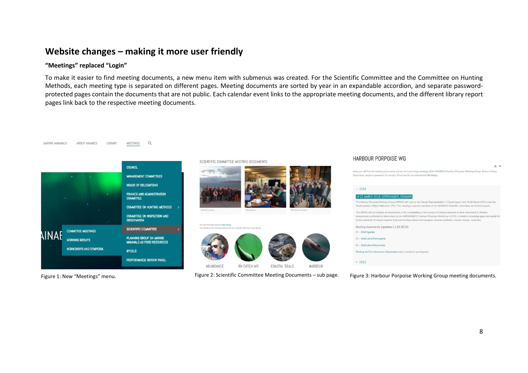## **Website changes – making it more user friendly**

 $\Omega$ 

**MEETINGS** 

#### **"Meetings" replaced "Login"**

ABOUT NAMMCO

MARINE MAMMALS

To make it easier to find meeting documents, a new menu item with submenus was created. For the Scientific Committee and the Committee on Hunting Methods, each meeting type is separated on different pages. Meeting documents are sorted by year in an expandable accordion, and separate passwordprotected pages contain the documents that are not public. Each calendar event links to the appropriate meeting documents, and the different library report pages link back to the respective meeting documents.



LIBRARY

#### SCIENTIFIC COMMITTEE MEETING DOCUMENTS





Figure 1: New "Meetings" menu. The Meeting occuments – Scientific Committee Meeting Documents – sub page. Figure 3: Harbour Porpoise Working Group meeting documents.

#### HARBOUR PORPOISE WG

will find the meeting documents of past and upcoming meetings of the NAMMCO Harbour Porpoise Working Group. Some of these equire a password for access. Final reports are uploaded in the library.



具有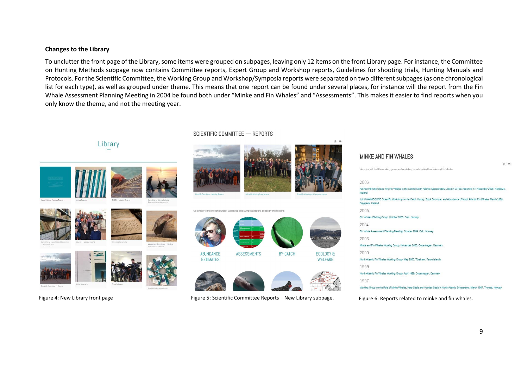#### **Changes to the Library**

To unclutter the front page of the Library, some items were grouped on subpages, leaving only 12 items on the front Library page. For instance, the Committee on Hunting Methods subpage now contains Committee reports, Expert Group and Workshop reports, Guidelines for shooting trials, Hunting Manuals and Protocols. For the Scientific Committee, the Working Group and Workshop/Symposia reports were separated on two different subpages (as one chronological list for each type), as well as grouped under theme. This means that one report can be found under several places, for instance will the report from the Fin Whale Assessment Planning Meeting in 2004 be found both under "Minke and Fin Whales" and "Assessments". This makes it easier to find reports when you only know the theme, and not the meeting year.



**SCIENTIFIC COMMITTEE - REPORTS** 



Go directly to the Working Group Workshop and Symposia reports sorted by theme here





Figure 4: New Library front page entional resume of Figure 5: Scientific Committee Reports – New Library subpage. Figure 6: Reports related to minke and fin whales.

| Light and will like the mount of floods and windershop uppoint telephone to statute and illu witalists.                                                   |
|-----------------------------------------------------------------------------------------------------------------------------------------------------------|
| 2006                                                                                                                                                      |
| Ad Hoc Working Group: Are Fin Whales in the Central North Atlantic Appropriately Listed in CITES Appendix 1?, November 2006, Reykjavik,<br>loaland        |
| Joint NAMMCO/IWC Scientific Workshop on the Catch History, Stock Structure, and Abundance of North Atlantic Fin Whales, March 2006,<br>Revkjavík, loeland |
| 2005                                                                                                                                                      |
| Fin Whales Working Group, October 2005, Oslo, Norway                                                                                                      |
| 2004                                                                                                                                                      |
| Fin Whale Assessment Planning Meeting, October 2004, Oslo, Norway                                                                                         |
| 2003                                                                                                                                                      |
| Minke and Fin Whales Working Group, November 2003, Copenhagen, Denmark                                                                                    |
| 2000                                                                                                                                                      |
| North Atlantic Fin Whales Working Group, May 2000, Torshavn, Faroe Islands                                                                                |
| 1999                                                                                                                                                      |
| North Atlantic Fin Whales Working Group, April 1999, Copenhagen, Denmark                                                                                  |
| 1997                                                                                                                                                      |
| Marking Group on the Dale of Minim Marker, Unser Capte and Unaded Capte in Mark Atlantic Experiences: March 1007, Transan, Marcura                        |

MINKE AND FIN WHALES

 $M = 98$